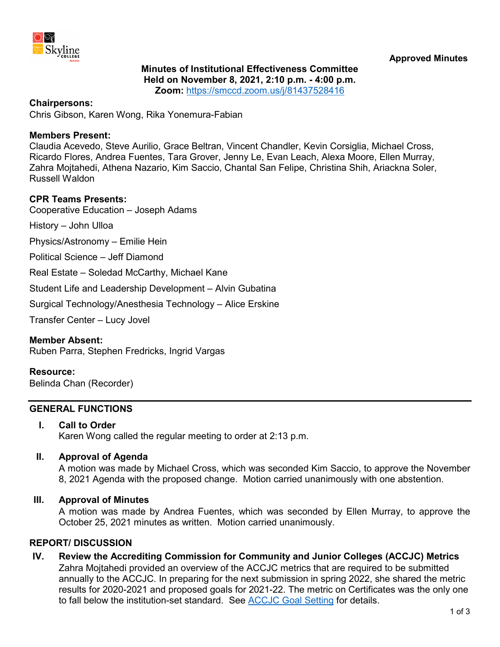

# **Minutes of Institutional Effectiveness Committee Held on November 8, 2021, 2:10 p.m. - 4:00 p.m. Zoom:** <https://smccd.zoom.us/j/81437528416>

## **Chairpersons:**

Chris Gibson, Karen Wong, Rika Yonemura-Fabian

#### **Members Present:**

Claudia Acevedo, Steve Aurilio, Grace Beltran, Vincent Chandler, Kevin Corsiglia, Michael Cross, Ricardo Flores, Andrea Fuentes, Tara Grover, Jenny Le, Evan Leach, Alexa Moore, Ellen Murray, Zahra Mojtahedi, Athena Nazario, Kim Saccio, Chantal San Felipe, Christina Shih, Ariackna Soler, Russell Waldon

#### **CPR Teams Presents:**

Cooperative Education – Joseph Adams

History – John Ulloa

Physics/Astronomy – Emilie Hein

Political Science – Jeff Diamond

Real Estate – Soledad McCarthy, Michael Kane

Student Life and Leadership Development – Alvin Gubatina

Surgical Technology/Anesthesia Technology – Alice Erskine

Transfer Center – Lucy Jovel

#### **Member Absent:**

Ruben Parra, Stephen Fredricks, Ingrid Vargas

#### **Resource:**

Belinda Chan (Recorder)

## **GENERAL FUNCTIONS**

#### **I. Call to Order**

Karen Wong called the regular meeting to order at 2:13 p.m.

## **II. Approval of Agenda**

A motion was made by Michael Cross, which was seconded Kim Saccio, to approve the November 8, 2021 Agenda with the proposed change. Motion carried unanimously with one abstention.

## **III. Approval of Minutes**

A motion was made by Andrea Fuentes, which was seconded by Ellen Murray, to approve the October 25, 2021 minutes as written. Motion carried unanimously.

#### **REPORT/ DISCUSSION**

**IV. Review the Accrediting Commission for Community and Junior Colleges (ACCJC) Metrics** Zahra Mojtahedi provided an overview of the ACCJC metrics that are required to be submitted annually to the ACCJC. In preparing for the next submission in spring 2022, she shared the metric results for 2020-2021 and proposed goals for 2021-22. The metric on Certificates was the only one to fall below the institution-set standard. See [ACCJC Goal Setting](https://www.skylinecollege.edu/iec/assets/agendas/2021-2022/IEC-ACCJC-Goals-20211108.pdf) for details.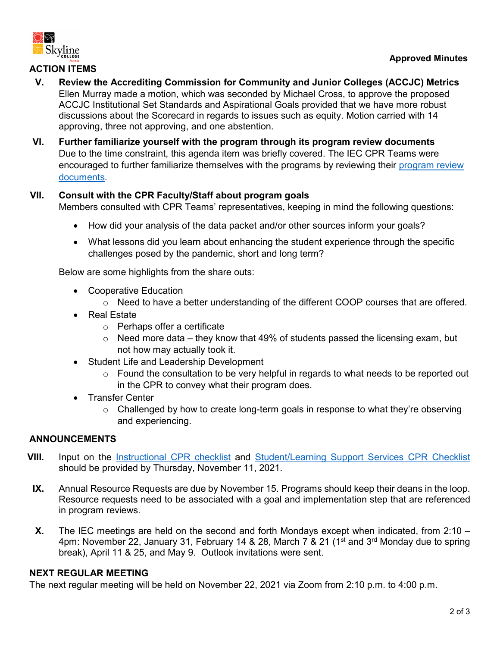

# **ACTION ITEMS**

- **V. Review the Accrediting Commission for Community and Junior Colleges (ACCJC) Metrics** Ellen Murray made a motion, which was seconded by Michael Cross, to approve the proposed ACCJC Institutional Set Standards and Aspirational Goals provided that we have more robust discussions about the Scorecard in regards to issues such as equity. Motion carried with 14 approving, three not approving, and one abstention.
- **VI. Further familiarize yourself with the program through its program review documents** Due to the time constraint, this agenda item was briefly covered. The IEC CPR Teams were encouraged to further familiarize themselves with the programs by reviewing their [program review](https://www.skylinecollege.edu/programreview/prsubmissions.php)  [documents.](https://www.skylinecollege.edu/programreview/prsubmissions.php)

# **VII. Consult with the CPR Faculty/Staff about program goals**

Members consulted with CPR Teams' representatives, keeping in mind the following questions:

- How did your analysis of the data packet and/or other sources inform your goals?
- What lessons did you learn about enhancing the student experience through the specific challenges posed by the pandemic, short and long term?

Below are some highlights from the share outs:

- Cooperative Education
	- $\circ$  Need to have a better understanding of the different COOP courses that are offered.
- Real Estate
	- o Perhaps offer a certificate
	- $\circ$  Need more data they know that 49% of students passed the licensing exam, but not how may actually took it.
- Student Life and Leadership Development
	- o Found the consultation to be very helpful in regards to what needs to be reported out in the CPR to convey what their program does.
- Transfer Center
	- o Challenged by how to create long-term goals in response to what they're observing and experiencing.

# **ANNOUNCEMENTS**

- **VIII.** Input on the *[Instructional CPR checklist](https://docs.google.com/document/d/1wojIBaQm5myScm2Xq126i-kWSIThphBz/edit?usp=sharing&ouid=106077962206322021227&rtpof=true&sd=true)* and *Student/Learning Support Services CPR Checklist* should be provided by Thursday, November 11, 2021.
	- **IX.** Annual Resource Requests are due by November 15. Programs should keep their deans in the loop. Resource requests need to be associated with a goal and implementation step that are referenced in program reviews.
	- **X.** The IEC meetings are held on the second and forth Mondays except when indicated, from 2:10 4pm: November 22, January 31, February 14 & 28, March 7 & 21 (1<sup>st</sup> and 3<sup>rd</sup> Monday due to spring break), April 11 & 25, and May 9. Outlook invitations were sent.

# **NEXT REGULAR MEETING**

The next regular meeting will be held on November 22, 2021 via Zoom from 2:10 p.m. to 4:00 p.m.